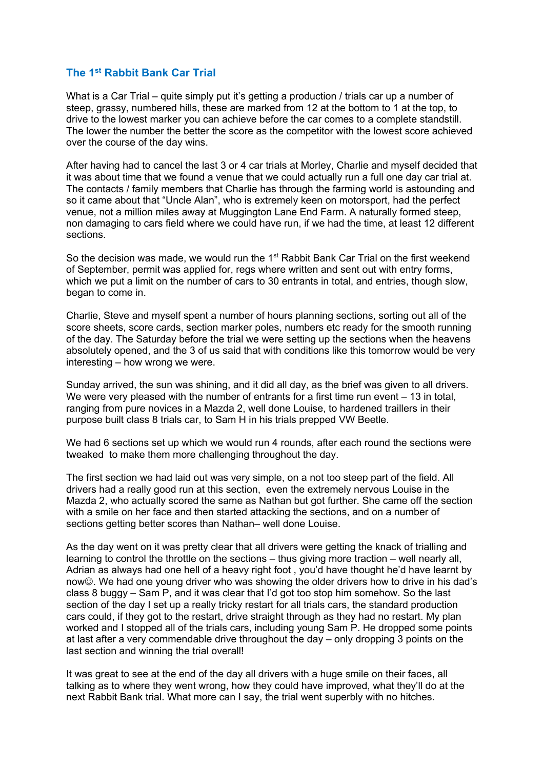## **The 1st Rabbit Bank Car Trial**

What is a Car Trial – quite simply put it's getting a production / trials car up a number of steep, grassy, numbered hills, these are marked from 12 at the bottom to 1 at the top, to drive to the lowest marker you can achieve before the car comes to a complete standstill. The lower the number the better the score as the competitor with the lowest score achieved over the course of the day wins.

After having had to cancel the last 3 or 4 car trials at Morley, Charlie and myself decided that it was about time that we found a venue that we could actually run a full one day car trial at. The contacts / family members that Charlie has through the farming world is astounding and so it came about that "Uncle Alan", who is extremely keen on motorsport, had the perfect venue, not a million miles away at Muggington Lane End Farm. A naturally formed steep, non damaging to cars field where we could have run, if we had the time, at least 12 different sections.

So the decision was made, we would run the 1<sup>st</sup> Rabbit Bank Car Trial on the first weekend of September, permit was applied for, regs where written and sent out with entry forms, which we put a limit on the number of cars to 30 entrants in total, and entries, though slow, began to come in.

Charlie, Steve and myself spent a number of hours planning sections, sorting out all of the score sheets, score cards, section marker poles, numbers etc ready for the smooth running of the day. The Saturday before the trial we were setting up the sections when the heavens absolutely opened, and the 3 of us said that with conditions like this tomorrow would be very interesting – how wrong we were.

Sunday arrived, the sun was shining, and it did all day, as the brief was given to all drivers. We were very pleased with the number of entrants for a first time run event – 13 in total. ranging from pure novices in a Mazda 2, well done Louise, to hardened traillers in their purpose built class 8 trials car, to Sam H in his trials prepped VW Beetle.

We had 6 sections set up which we would run 4 rounds, after each round the sections were tweaked to make them more challenging throughout the day.

The first section we had laid out was very simple, on a not too steep part of the field. All drivers had a really good run at this section, even the extremely nervous Louise in the Mazda 2, who actually scored the same as Nathan but got further. She came off the section with a smile on her face and then started attacking the sections, and on a number of sections getting better scores than Nathan– well done Louise.

As the day went on it was pretty clear that all drivers were getting the knack of trialling and learning to control the throttle on the sections – thus giving more traction – well nearly all, Adrian as always had one hell of a heavy right foot , you'd have thought he'd have learnt by now©. We had one young driver who was showing the older drivers how to drive in his dad's class 8 buggy – Sam P, and it was clear that I'd got too stop him somehow. So the last section of the day I set up a really tricky restart for all trials cars, the standard production cars could, if they got to the restart, drive straight through as they had no restart. My plan worked and I stopped all of the trials cars, including young Sam P. He dropped some points at last after a very commendable drive throughout the day – only dropping 3 points on the last section and winning the trial overall!

It was great to see at the end of the day all drivers with a huge smile on their faces, all talking as to where they went wrong, how they could have improved, what they'll do at the next Rabbit Bank trial. What more can I say, the trial went superbly with no hitches.